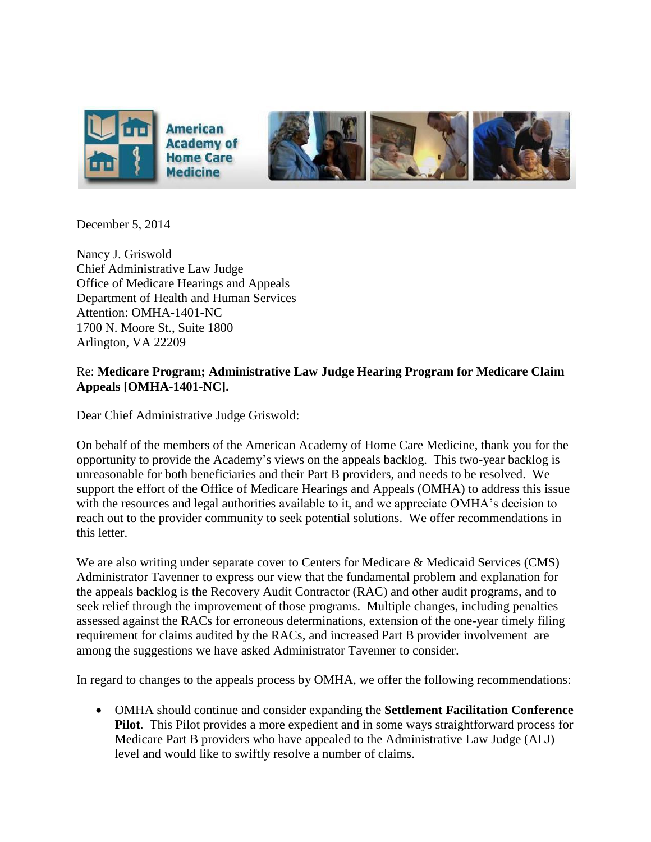

December 5, 2014

Nancy J. Griswold Chief Administrative Law Judge Office of Medicare Hearings and Appeals Department of Health and Human Services Attention: OMHA-1401-NC 1700 N. Moore St., Suite 1800 Arlington, VA 22209

## Re: **Medicare Program; Administrative Law Judge Hearing Program for Medicare Claim Appeals [OMHA-1401-NC].**

Dear Chief Administrative Judge Griswold:

On behalf of the members of the American Academy of Home Care Medicine, thank you for the opportunity to provide the Academy's views on the appeals backlog. This two-year backlog is unreasonable for both beneficiaries and their Part B providers, and needs to be resolved. We support the effort of the Office of Medicare Hearings and Appeals (OMHA) to address this issue with the resources and legal authorities available to it, and we appreciate OMHA's decision to reach out to the provider community to seek potential solutions. We offer recommendations in this letter.

We are also writing under separate cover to Centers for Medicare & Medicaid Services (CMS) Administrator Tavenner to express our view that the fundamental problem and explanation for the appeals backlog is the Recovery Audit Contractor (RAC) and other audit programs, and to seek relief through the improvement of those programs. Multiple changes, including penalties assessed against the RACs for erroneous determinations, extension of the one-year timely filing requirement for claims audited by the RACs, and increased Part B provider involvement are among the suggestions we have asked Administrator Tavenner to consider.

In regard to changes to the appeals process by OMHA, we offer the following recommendations:

 OMHA should continue and consider expanding the **Settlement Facilitation Conference Pilot**. This Pilot provides a more expedient and in some ways straightforward process for Medicare Part B providers who have appealed to the Administrative Law Judge (ALJ) level and would like to swiftly resolve a number of claims.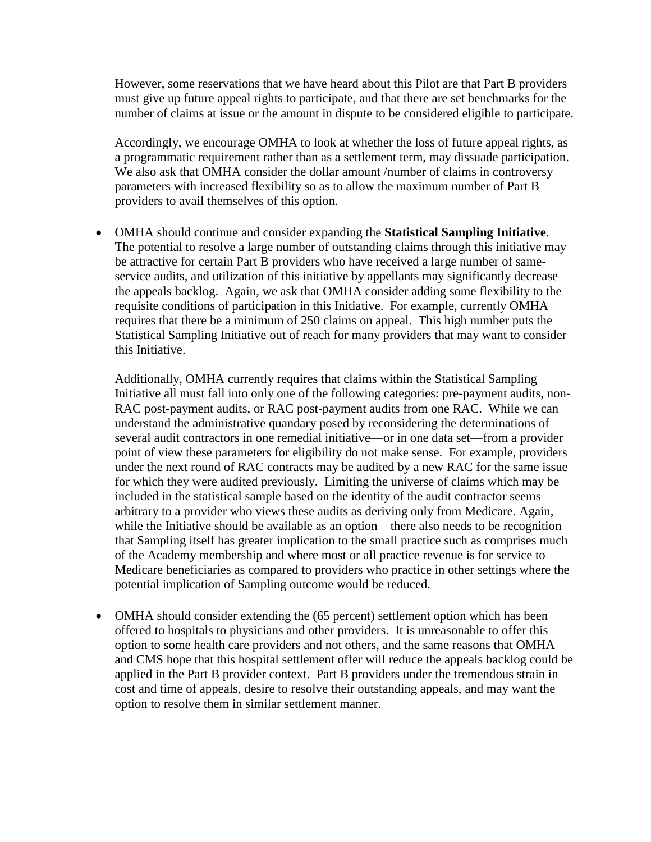However, some reservations that we have heard about this Pilot are that Part B providers must give up future appeal rights to participate, and that there are set benchmarks for the number of claims at issue or the amount in dispute to be considered eligible to participate.

Accordingly, we encourage OMHA to look at whether the loss of future appeal rights, as a programmatic requirement rather than as a settlement term, may dissuade participation. We also ask that OMHA consider the dollar amount /number of claims in controversy parameters with increased flexibility so as to allow the maximum number of Part B providers to avail themselves of this option.

 OMHA should continue and consider expanding the **Statistical Sampling Initiative**. The potential to resolve a large number of outstanding claims through this initiative may be attractive for certain Part B providers who have received a large number of sameservice audits, and utilization of this initiative by appellants may significantly decrease the appeals backlog. Again, we ask that OMHA consider adding some flexibility to the requisite conditions of participation in this Initiative. For example, currently OMHA requires that there be a minimum of 250 claims on appeal. This high number puts the Statistical Sampling Initiative out of reach for many providers that may want to consider this Initiative.

Additionally, OMHA currently requires that claims within the Statistical Sampling Initiative all must fall into only one of the following categories: pre-payment audits, non-RAC post-payment audits, or RAC post-payment audits from one RAC. While we can understand the administrative quandary posed by reconsidering the determinations of several audit contractors in one remedial initiative—or in one data set—from a provider point of view these parameters for eligibility do not make sense. For example, providers under the next round of RAC contracts may be audited by a new RAC for the same issue for which they were audited previously. Limiting the universe of claims which may be included in the statistical sample based on the identity of the audit contractor seems arbitrary to a provider who views these audits as deriving only from Medicare. Again, while the Initiative should be available as an option – there also needs to be recognition that Sampling itself has greater implication to the small practice such as comprises much of the Academy membership and where most or all practice revenue is for service to Medicare beneficiaries as compared to providers who practice in other settings where the potential implication of Sampling outcome would be reduced.

 OMHA should consider extending the (65 percent) settlement option which has been offered to hospitals to physicians and other providers. It is unreasonable to offer this option to some health care providers and not others, and the same reasons that OMHA and CMS hope that this hospital settlement offer will reduce the appeals backlog could be applied in the Part B provider context. Part B providers under the tremendous strain in cost and time of appeals, desire to resolve their outstanding appeals, and may want the option to resolve them in similar settlement manner.